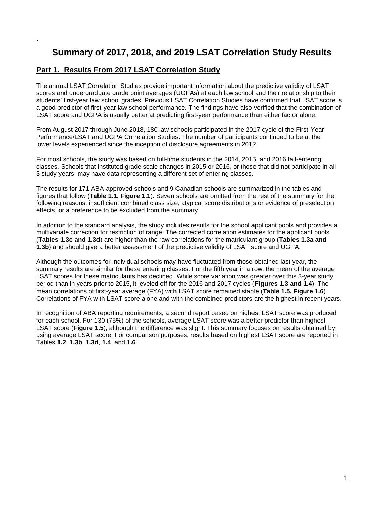# **Summary of 2017, 2018, and 2019 LSAT Correlation Study Results**

## **Part 1. Results From 2017 LSAT Correlation Study**

**`** 

The annual LSAT Correlation Studies provide important information about the predictive validity of LSAT scores and undergraduate grade point averages (UGPAs) at each law school and their relationship to their students' first-year law school grades. Previous LSAT Correlation Studies have confirmed that LSAT score is a good predictor of first-year law school performance. The findings have also verified that the combination of LSAT score and UGPA is usually better at predicting first-year performance than either factor alone.

From August 2017 through June 2018, 180 law schools participated in the 2017 cycle of the First-Year Performance/LSAT and UGPA Correlation Studies. The number of participants continued to be at the lower levels experienced since the inception of disclosure agreements in 2012.

For most schools, the study was based on full-time students in the 2014, 2015, and 2016 fall-entering classes. Schools that instituted grade scale changes in 2015 or 2016, or those that did not participate in all 3 study years, may have data representing a different set of entering classes.

The results for 171 ABA-approved schools and 9 Canadian schools are summarized in the tables and figures that follow (**Table 1.1, Figure 1.1**). Seven schools are omitted from the rest of the summary for the following reasons: insufficient combined class size, atypical score distributions or evidence of preselection effects, or a preference to be excluded from the summary.

In addition to the standard analysis, the study includes results for the school applicant pools and provides a multivariate correction for restriction of range. The corrected correlation estimates for the applicant pools (**Tables 1.3c and 1.3d**) are higher than the raw correlations for the matriculant group (**Tables 1.3a and 1.3b**) and should give a better assessment of the predictive validity of LSAT score and UGPA.

Although the outcomes for individual schools may have fluctuated from those obtained last year, the summary results are similar for these entering classes. For the fifth year in a row, the mean of the average LSAT scores for these matriculants has declined. While score variation was greater over this 3-year study period than in years prior to 2015, it leveled off for the 2016 and 2017 cycles (**Figures 1.3 and 1.4**). The mean correlations of first-year average (FYA) with LSAT score remained stable (**Table 1.5, Figure 1.6**). Correlations of FYA with LSAT score alone and with the combined predictors are the highest in recent years.

In recognition of ABA reporting requirements, a second report based on highest LSAT score was produced for each school. For 130 (75%) of the schools, average LSAT score was a better predictor than highest LSAT score (**Figure 1.5**), although the difference was slight. This summary focuses on results obtained by using average LSAT score. For comparison purposes, results based on highest LSAT score are reported in Tables **1.2**, **1.3b**, **1.3d**, **1.4**, and **1.6**.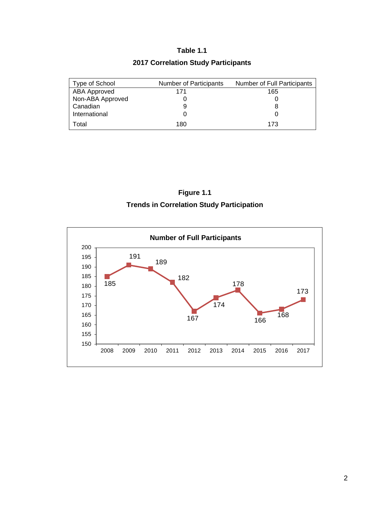# **Table 1.1**

# **2017 Correlation Study Participants**

| Type of School   | Number of Participants | Number of Full Participants |
|------------------|------------------------|-----------------------------|
| ABA Approved     | 171                    | 165                         |
| Non-ABA Approved |                        |                             |
| Canadian         |                        |                             |
| International    |                        |                             |
| Total            | 180                    | 173                         |



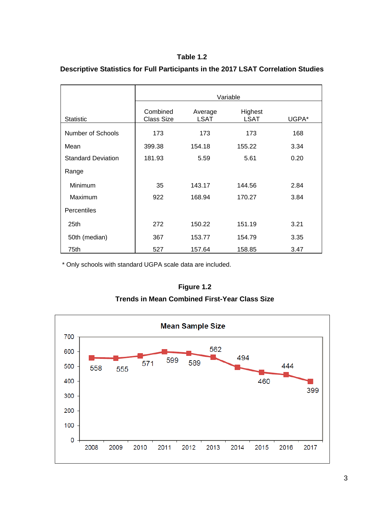## **Table 1.2**

|                           | Variable                      |                        |                        |       |  |
|---------------------------|-------------------------------|------------------------|------------------------|-------|--|
| <b>Statistic</b>          | Combined<br><b>Class Size</b> | Average<br><b>LSAT</b> | Highest<br><b>LSAT</b> | UGPA* |  |
| Number of Schools         | 173                           | 173                    | 173                    | 168   |  |
| Mean                      | 399.38                        | 154.18                 | 155.22                 | 3.34  |  |
| <b>Standard Deviation</b> | 181.93                        | 5.59                   | 5.61                   | 0.20  |  |
| Range                     |                               |                        |                        |       |  |
| Minimum                   | 35                            | 143.17                 | 144.56                 | 2.84  |  |
| Maximum                   | 922                           | 168.94                 | 170.27                 | 3.84  |  |
| Percentiles               |                               |                        |                        |       |  |
| 25th                      | 272                           | 150.22                 | 151.19                 | 3.21  |  |
| 50th (median)             | 367                           | 153.77                 | 154.79                 | 3.35  |  |
| 75th                      | 527                           | 157.64                 | 158.85                 | 3.47  |  |

## **Descriptive Statistics for Full Participants in the 2017 LSAT Correlation Studies**

\* Only schools with standard UGPA scale data are included.



**Trends in Mean Combined First-Year Class Size**

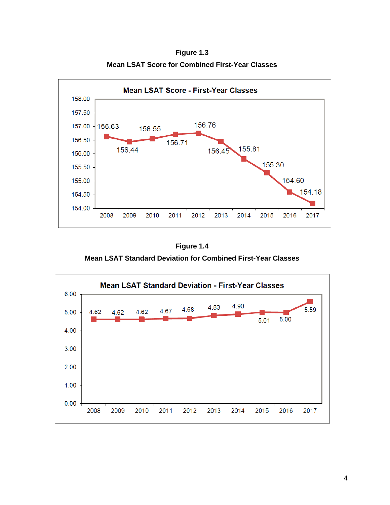**Figure 1.3 Mean LSAT Score for Combined First-Year Classes**



**Figure 1.4**

**Mean LSAT Standard Deviation for Combined First-Year Classes**

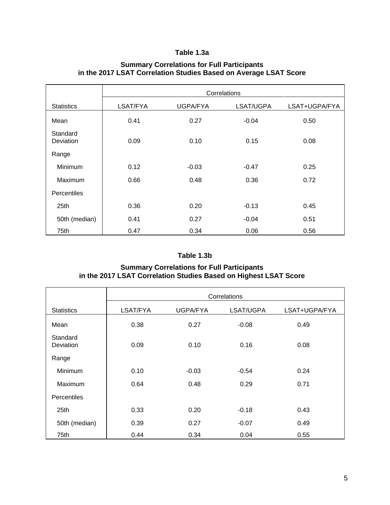## **Table 1.3a**

|                       | Correlations |                 |           |               |  |  |
|-----------------------|--------------|-----------------|-----------|---------------|--|--|
| <b>Statistics</b>     | LSAT/FYA     | <b>UGPA/FYA</b> | LSAT/UGPA | LSAT+UGPA/FYA |  |  |
| Mean                  | 0.41         | 0.27            | $-0.04$   | 0.50          |  |  |
| Standard<br>Deviation | 0.09         | 0.10            | 0.15      | 0.08          |  |  |
| Range                 |              |                 |           |               |  |  |
| Minimum               | 0.12         | $-0.03$         | $-0.47$   | 0.25          |  |  |
| Maximum               | 0.66         | 0.48            | 0.36      | 0.72          |  |  |
| Percentiles           |              |                 |           |               |  |  |
| 25th                  | 0.36         | 0.20            | $-0.13$   | 0.45          |  |  |
| 50th (median)         | 0.41         | 0.27            | $-0.04$   | 0.51          |  |  |
| 75th                  | 0.47         | 0.34            | 0.06      | 0.56          |  |  |

## **Summary Correlations for Full Participants in the 2017 LSAT Correlation Studies Based on Average LSAT Score**

## **Table 1.3b**

#### **Summary Correlations for Full Participants in the 2017 LSAT Correlation Studies Based on Highest LSAT Score**

|                       | Correlations |          |           |               |  |  |
|-----------------------|--------------|----------|-----------|---------------|--|--|
| <b>Statistics</b>     | LSAT/FYA     | UGPA/FYA | LSAT/UGPA | LSAT+UGPA/FYA |  |  |
| Mean                  | 0.38         | 0.27     | $-0.08$   | 0.49          |  |  |
| Standard<br>Deviation | 0.09         | 0.10     | 0.16      | 0.08          |  |  |
| Range                 |              |          |           |               |  |  |
| Minimum               | 0.10         | $-0.03$  | $-0.54$   | 0.24          |  |  |
| Maximum               | 0.64         | 0.48     | 0.29      | 0.71          |  |  |
| Percentiles           |              |          |           |               |  |  |
| 25 <sub>th</sub>      | 0.33         | 0.20     | $-0.18$   | 0.43          |  |  |
| 50th (median)         | 0.39         | 0.27     | $-0.07$   | 0.49          |  |  |
| 75th                  | 0.44         | 0.34     | 0.04      | 0.55          |  |  |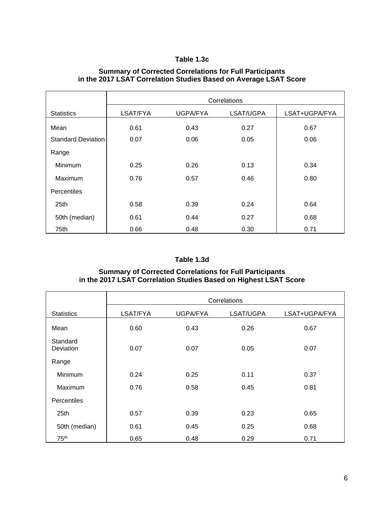# **Table 1.3c**

## **Summary of Corrected Correlations for Full Participants in the 2017 LSAT Correlation Studies Based on Average LSAT Score**

|                           | Correlations |          |           |               |  |  |
|---------------------------|--------------|----------|-----------|---------------|--|--|
| <b>Statistics</b>         | LSAT/FYA     | UGPA/FYA | LSAT/UGPA | LSAT+UGPA/FYA |  |  |
| Mean                      | 0.61         | 0.43     | 0.27      | 0.67          |  |  |
| <b>Standard Deviation</b> | 0.07         | 0.06     | 0.05      | 0.06          |  |  |
| Range                     |              |          |           |               |  |  |
| Minimum                   | 0.25         | 0.26     | 0.13      | 0.34          |  |  |
| Maximum                   | 0.76         | 0.57     | 0.46      | 0.80          |  |  |
| <b>Percentiles</b>        |              |          |           |               |  |  |
| 25th                      | 0.58         | 0.39     | 0.24      | 0.64          |  |  |
| 50th (median)             | 0.61         | 0.44     | 0.27      | 0.68          |  |  |
| 75th                      | 0.66         | 0.48     | 0.30      | 0.71          |  |  |

# **Table 1.3d**

## **Summary of Corrected Correlations for Full Participants in the 2017 LSAT Correlation Studies Based on Highest LSAT Score**

|                       | Correlations |                 |           |               |  |  |
|-----------------------|--------------|-----------------|-----------|---------------|--|--|
| <b>Statistics</b>     | LSAT/FYA     | <b>UGPA/FYA</b> | LSAT/UGPA | LSAT+UGPA/FYA |  |  |
| Mean                  | 0.60         | 0.43            | 0.26      | 0.67          |  |  |
| Standard<br>Deviation | 0.07         | 0.07            | 0.05      | 0.07          |  |  |
| Range                 |              |                 |           |               |  |  |
| Minimum               | 0.24         | 0.25            | 0.11      | 0.37          |  |  |
| Maximum               | 0.76         | 0.58            | 0.45      | 0.81          |  |  |
| Percentiles           |              |                 |           |               |  |  |
| 25th                  | 0.57         | 0.39            | 0.23      | 0.65          |  |  |
| 50th (median)         | 0.61         | 0.45            | 0.25      | 0.68          |  |  |
| 75 <sup>th</sup>      | 0.65         | 0.48            | 0.29      | 0.71          |  |  |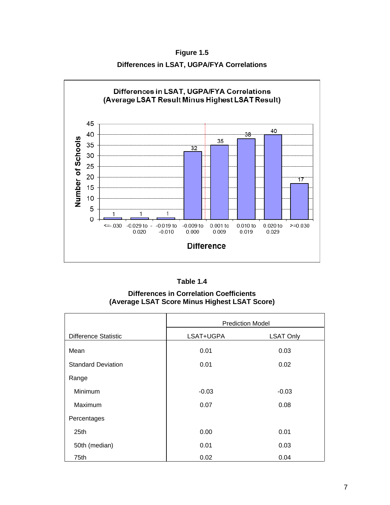**Figure 1.5 Differences in LSAT, UGPA/FYA Correlations**



| Table 1.4 |  |
|-----------|--|
|-----------|--|

**Differences in Correlation Coefficients (Average LSAT Score Minus Highest LSAT Score)**

|                             | <b>Prediction Model</b> |                  |  |  |
|-----------------------------|-------------------------|------------------|--|--|
| <b>Difference Statistic</b> | LSAT+UGPA               | <b>LSAT Only</b> |  |  |
| Mean                        | 0.01                    | 0.03             |  |  |
| <b>Standard Deviation</b>   | 0.01                    | 0.02             |  |  |
| Range                       |                         |                  |  |  |
| Minimum                     | $-0.03$                 | $-0.03$          |  |  |
| Maximum                     | 0.07                    | 0.08             |  |  |
| Percentages                 |                         |                  |  |  |
| 25 <sub>th</sub>            | 0.00                    | 0.01             |  |  |
| 50th (median)               | 0.01                    | 0.03             |  |  |
| 75th                        | 0.02                    | 0.04             |  |  |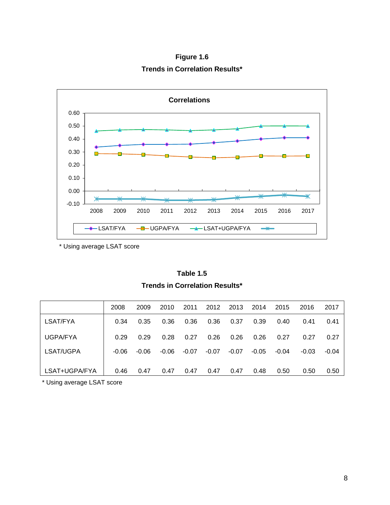**Figure 1.6 Trends in Correlation Results\***



\* Using average LSAT score

**Table 1.5 Trends in Correlation Results\***

|                 | 2008    | 2009    | 2010    | 2011    | 2012    | 2013    | 2014    | 2015  | 2016    | 2017    |
|-----------------|---------|---------|---------|---------|---------|---------|---------|-------|---------|---------|
| LSAT/FYA        | 0.34    | 0.35    | 0.36    | 0.36    | 0.36    | 0.37    | 0.39    | 0.40  | 0.41    | 0.41    |
| <b>UGPA/FYA</b> | 0.29    | 0.29    | 0.28    | 0.27    | 0.26    | 0.26    | 0.26    | 0.27  | 0.27    | 0.27    |
| LSAT/UGPA       | $-0.06$ | $-0.06$ | $-0.06$ | $-0.07$ | $-0.07$ | $-0.07$ | $-0.05$ | -0.04 | $-0.03$ | $-0.04$ |
| LSAT+UGPA/FYA   | 0.46    | 0.47    | 0.47    | 0.47    | 0.47    | 0.47    | 0.48    | 0.50  | 0.50    | 0.50    |

\* Using average LSAT score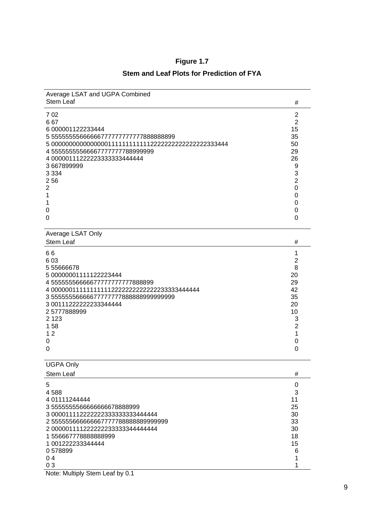| Average LSAT and UGPA Combined<br><b>Stem Leaf</b> | #              |
|----------------------------------------------------|----------------|
| 702                                                | $\overline{c}$ |
| 667                                                | $\overline{2}$ |
| 6 000001122233444                                  | 15             |
| 5 5555555566666677777777777888888899               | 35             |
|                                                    | 50             |
| 455555555566667777777788999999                     | 29             |
| 4 00000111222223333333444444                       | 26             |
| 3667899999                                         | 9              |
| 3 3 3 4                                            | 3              |
| 256                                                | $\overline{2}$ |
| $\overline{2}$                                     | $\mathbf 0$    |
| 1                                                  | 0              |
| 1                                                  | 0              |
| 0                                                  | $\mathbf 0$    |
| 0                                                  | $\overline{0}$ |
|                                                    |                |
| Average LSAT Only                                  |                |
| <b>Stem Leaf</b>                                   | #              |
| 66                                                 | 1              |
| 603                                                | $\overline{2}$ |
| 555666678                                          | 8              |
| 5 00000001111122223444                             | 20             |
| 45555555666667777777777888899                      | 29             |
| 4 000000111111111112222222222222233333444444       | 42             |
| 3555555666667777777888888999999999                 | 35             |
| 3 00111222222233344444                             | 20             |
| 25777888999                                        | 10             |
| 2 1 2 3                                            | 3              |
| 158                                                | $\overline{c}$ |
| 12                                                 | 1              |
| 0                                                  | 0              |
| 0                                                  | 0              |
| <b>UGPA Only</b>                                   |                |
| Stem Leaf                                          | #              |
| 5                                                  | $\mathbf 0$    |
| 4588                                               | 3              |
| 4 01111244444                                      | 11             |
| 3555555556666666678888999                          | 25             |
| 3 000011112222222333333333444444                   | 30             |
| 255555666666667777788888889999999                  | 33             |
| 2 00000111122222223333334444444                    | 30             |
| 1556667778888888999                                | 18             |
| 1 001222233344444                                  | 15             |
| 0578899                                            | 6              |

 $0\,578899$  6<br>0.4  $0.4$  1  $0.3$  1

# **Figure 1.7**

# **Stem and Leaf Plots for Prediction of FYA**

Note: Multiply Stem Leaf by 0.1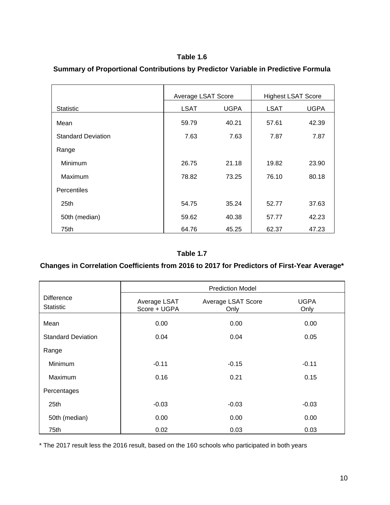## **Table 1.6**

|                           | Average LSAT Score |             |                           |             |  |
|---------------------------|--------------------|-------------|---------------------------|-------------|--|
|                           |                    |             | <b>Highest LSAT Score</b> |             |  |
| <b>Statistic</b>          | <b>LSAT</b>        | <b>UGPA</b> | <b>LSAT</b>               | <b>UGPA</b> |  |
| Mean                      | 59.79              | 40.21       | 57.61                     | 42.39       |  |
| <b>Standard Deviation</b> | 7.63               | 7.63        | 7.87                      | 7.87        |  |
| Range                     |                    |             |                           |             |  |
| Minimum                   | 26.75              | 21.18       | 19.82                     | 23.90       |  |
| Maximum                   | 78.82              | 73.25       | 76.10                     | 80.18       |  |
| Percentiles               |                    |             |                           |             |  |
| 25 <sub>th</sub>          | 54.75              | 35.24       | 52.77                     | 37.63       |  |
| 50th (median)             | 59.62              | 40.38       | 57.77                     | 42.23       |  |
| 75th                      | 64.76              | 45.25       | 62.37                     | 47.23       |  |

# **Summary of Proportional Contributions by Predictor Variable in Predictive Formula**

#### **Table 1.7**

# **Changes in Correlation Coefficients from 2016 to 2017 for Predictors of First-Year Average\***

|                                       |                              | <b>Prediction Model</b>    |                     |
|---------------------------------------|------------------------------|----------------------------|---------------------|
| <b>Difference</b><br><b>Statistic</b> | Average LSAT<br>Score + UGPA | Average LSAT Score<br>Only | <b>UGPA</b><br>Only |
| Mean                                  | 0.00                         | 0.00                       | 0.00                |
| <b>Standard Deviation</b>             | 0.04                         | 0.04                       | 0.05                |
| Range                                 |                              |                            |                     |
| <b>Minimum</b>                        | $-0.11$                      | $-0.15$                    | $-0.11$             |
| Maximum                               | 0.16                         | 0.21                       | 0.15                |
| Percentages                           |                              |                            |                     |
| 25th                                  | $-0.03$                      | $-0.03$                    | $-0.03$             |
| 50th (median)                         | 0.00                         | 0.00                       | 0.00                |
| 75th                                  | 0.02                         | 0.03                       | 0.03                |

\* The 2017 result less the 2016 result, based on the 160 schools who participated in both years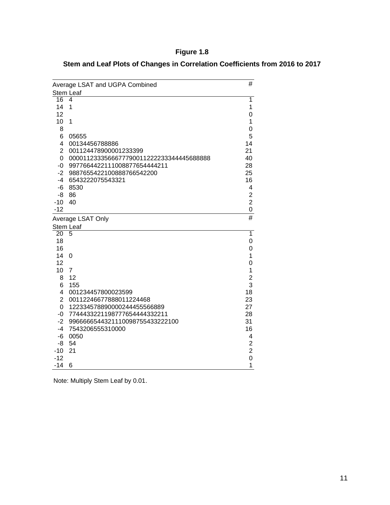# **Figure 1.8**

| Stem and Leaf Plots of Changes in Correlation Coefficients from 2016 to 2017 |  |  |
|------------------------------------------------------------------------------|--|--|
|------------------------------------------------------------------------------|--|--|

|                 | Average LSAT and UGPA Combined           | #                       |
|-----------------|------------------------------------------|-------------------------|
|                 | <b>Stem Leaf</b>                         |                         |
| $\overline{16}$ | 4                                        | 1                       |
| 14              | 1                                        | 1                       |
| 12              |                                          | 0                       |
| 10              | $\mathbf{1}$                             | 1                       |
| 8               |                                          | 0                       |
| 6               | 05655                                    | 5                       |
| $\overline{4}$  | 00134456788886                           | 14                      |
| $\overline{2}$  | 001124478900001233399                    | 21                      |
| 0               | 0000112333566677790011222233344445688888 | 40                      |
| $-0$            | 9977664422111008877654444211             | 28                      |
| $-2$            | 9887655422100888766542200                | 25                      |
| -4              | 6543222075543321                         | 16                      |
| -6              | 8530                                     | 4                       |
| -8              | 86                                       | $\overline{2}$          |
| $-10$           | 40                                       | $\overline{2}$          |
| $-12$           |                                          | 0                       |
|                 | Average LSAT Only                        | #                       |
|                 | Stem Leaf                                |                         |
| 20              | 5                                        | $\overline{1}$          |
| 18              |                                          | 0                       |
| 16              |                                          | 0                       |
| 14              | $\mathbf 0$                              | 1                       |
| 12              |                                          | 0                       |
| 10              | $\overline{7}$                           | 1                       |
| 8               | 12                                       | $\overline{c}$          |
| 6               | 155                                      | 3                       |
| 4               | 001234457800023599                       | 18                      |
| $\overline{2}$  | 00112246677888011224468                  | 23                      |
| 0               | 122334578890000244455566889              | 27                      |
| $-0$            | 7744433221198777654444332211             | 28                      |
| $-2$            | 9966666544321110098755433222100          | 31                      |
| -4              | 7543206555310000                         | 16                      |
| $-6$            | 0050                                     | 4                       |
| -8              | 54                                       | $\overline{\mathbf{c}}$ |
| $-10$           | 21                                       | $\overline{2}$          |
| $-12$           |                                          | $\overline{0}$          |
| $-14$           | 6                                        | 1                       |

Note: Multiply Stem Leaf by 0.01.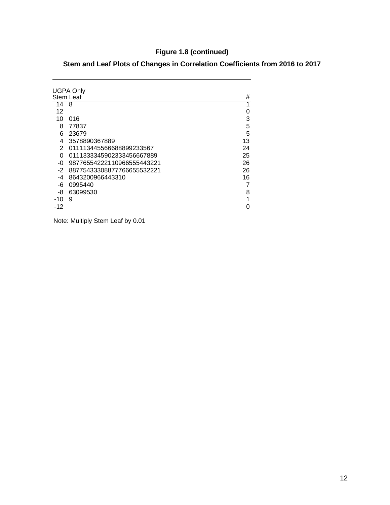# **Figure 1.8 (continued)**

| Stem and Leaf Plots of Changes in Correlation Coefficients from 2016 to 2017 |  |  |  |  |  |
|------------------------------------------------------------------------------|--|--|--|--|--|
|------------------------------------------------------------------------------|--|--|--|--|--|

| <b>UGPA Only</b><br>Stem Leaf |                            |    |  |  |  |
|-------------------------------|----------------------------|----|--|--|--|
| 14                            | 8                          | 1  |  |  |  |
| 12                            |                            | 0  |  |  |  |
| 10                            | 016                        | 3  |  |  |  |
| 8                             | 77837                      | 5  |  |  |  |
| 6                             | 23679                      | 5  |  |  |  |
| 4                             | 3578890367889              | 13 |  |  |  |
| 2                             | 011113445566688899233567   | 24 |  |  |  |
| 0                             | 0111333345902333456667889  | 25 |  |  |  |
| -0                            | 98776554222110966555443221 | 26 |  |  |  |
| $-2$                          | 88775433308877766655532221 | 26 |  |  |  |
| -4                            | 8643200966443310           | 16 |  |  |  |
| -6                            | 0995440                    | 7  |  |  |  |
| -8                            | 63099530                   | 8  |  |  |  |
| -10                           | 9                          | 1  |  |  |  |
| -12                           |                            | ი  |  |  |  |

Note: Multiply Stem Leaf by 0.01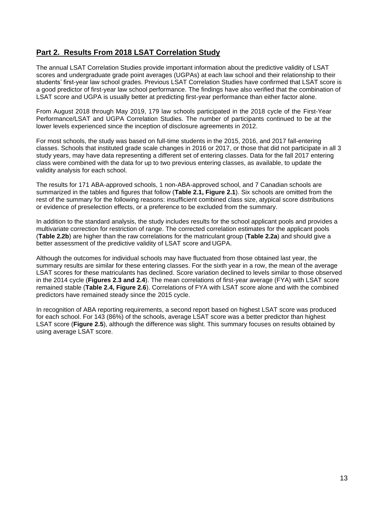# **Part 2. Results From 2018 LSAT Correlation Study**

The annual LSAT Correlation Studies provide important information about the predictive validity of LSAT scores and undergraduate grade point averages (UGPAs) at each law school and their relationship to their students' first-year law school grades. Previous LSAT Correlation Studies have confirmed that LSAT score is a good predictor of first-year law school performance. The findings have also verified that the combination of LSAT score and UGPA is usually better at predicting first-year performance than either factor alone.

From August 2018 through May 2019, 179 law schools participated in the 2018 cycle of the First-Year Performance/LSAT and UGPA Correlation Studies. The number of participants continued to be at the lower levels experienced since the inception of disclosure agreements in 2012.

For most schools, the study was based on full-time students in the 2015, 2016, and 2017 fall-entering classes. Schools that instituted grade scale changes in 2016 or 2017, or those that did not participate in all 3 study years, may have data representing a different set of entering classes. Data for the fall 2017 entering class were combined with the data for up to two previous entering classes, as available, to update the validity analysis for each school.

The results for 171 ABA-approved schools, 1 non-ABA-approved school, and 7 Canadian schools are summarized in the tables and figures that follow (**Table 2.1, Figure 2.1**). Six schools are omitted from the rest of the summary for the following reasons: insufficient combined class size, atypical score distributions or evidence of preselection effects, or a preference to be excluded from the summary.

In addition to the standard analysis, the study includes results for the school applicant pools and provides a multivariate correction for restriction of range. The corrected correlation estimates for the applicant pools (**Table 2.2b**) are higher than the raw correlations for the matriculant group (**Table 2.2a**) and should give a better assessment of the predictive validity of LSAT score and UGPA.

Although the outcomes for individual schools may have fluctuated from those obtained last year, the summary results are similar for these entering classes. For the sixth year in a row, the mean of the average LSAT scores for these matriculants has declined. Score variation declined to levels similar to those observed in the 2014 cycle (**Figures 2.3 and 2.4**). The mean correlations of first-year average (FYA) with LSAT score remained stable (**Table 2.4, Figure 2.6**). Correlations of FYA with LSAT score alone and with the combined predictors have remained steady since the 2015 cycle.

In recognition of ABA reporting requirements, a second report based on highest LSAT score was produced for each school. For 143 (86%) of the schools, average LSAT score was a better predictor than highest LSAT score (**Figure 2.5**), although the difference was slight. This summary focuses on results obtained by using average LSAT score.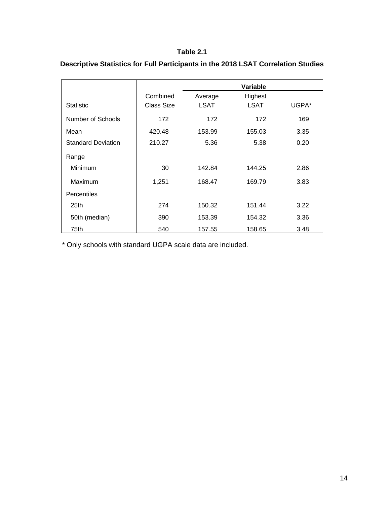#### **Table 2.1**

|                           |                   |         | Variable |       |
|---------------------------|-------------------|---------|----------|-------|
|                           | Combined          | Average | Highest  |       |
| <b>Statistic</b>          | <b>Class Size</b> | LSAT    | LSAT     | UGPA* |
| Number of Schools         | 172               | 172     | 172      | 169   |
| Mean                      | 420.48            | 153.99  | 155.03   | 3.35  |
| <b>Standard Deviation</b> | 210.27            | 5.36    | 5.38     | 0.20  |
| Range                     |                   |         |          |       |
| Minimum                   | 30                | 142.84  | 144.25   | 2.86  |
| Maximum                   | 1,251             | 168.47  | 169.79   | 3.83  |
| Percentiles               |                   |         |          |       |
| 25th                      | 274               | 150.32  | 151.44   | 3.22  |
| 50th (median)             | 390               | 153.39  | 154.32   | 3.36  |
| 75th                      | 540               | 157.55  | 158.65   | 3.48  |

# **Descriptive Statistics for Full Participants in the 2018 LSAT Correlation Studies**

\* Only schools with standard UGPA scale data are included.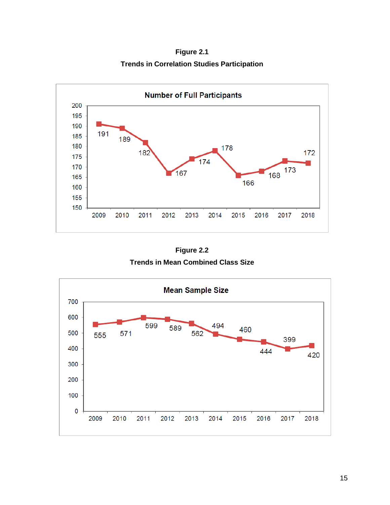**Figure 2.1 Trends in Correlation Studies Participation**



**Figure 2.2 Trends in Mean Combined Class Size**

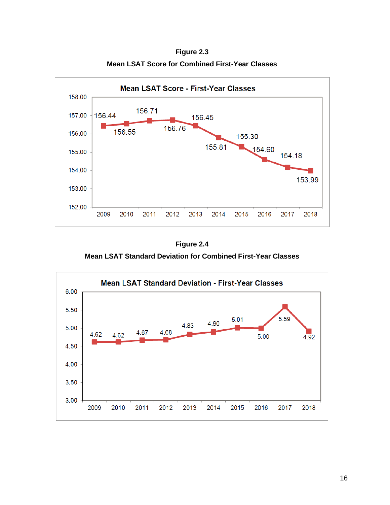**Figure 2.3 Mean LSAT Score for Combined First-Year Classes**



**Figure 2.4**

**Mean LSAT Standard Deviation for Combined First-Year Classes**

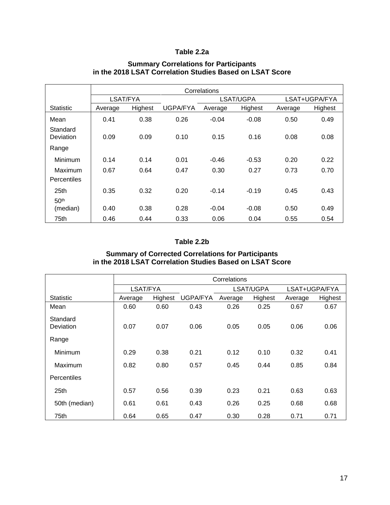### **Table 2.2a**

|                       | Correlations |         |                 |         |           |         |               |  |
|-----------------------|--------------|---------|-----------------|---------|-----------|---------|---------------|--|
|                       | LSAT/FYA     |         |                 |         | LSAT/UGPA |         | LSAT+UGPA/FYA |  |
| <b>Statistic</b>      | Average      | Highest | <b>UGPA/FYA</b> | Average | Highest   | Average | Highest       |  |
| Mean                  | 0.41         | 0.38    | 0.26            | $-0.04$ | $-0.08$   | 0.50    | 0.49          |  |
| Standard<br>Deviation | 0.09         | 0.09    | 0.10            | 0.15    | 0.16      | 0.08    | 0.08          |  |
| Range                 |              |         |                 |         |           |         |               |  |
| Minimum               | 0.14         | 0.14    | 0.01            | $-0.46$ | $-0.53$   | 0.20    | 0.22          |  |
| Maximum               | 0.67         | 0.64    | 0.47            | 0.30    | 0.27      | 0.73    | 0.70          |  |
| <b>Percentiles</b>    |              |         |                 |         |           |         |               |  |
| 25 <sub>th</sub>      | 0.35         | 0.32    | 0.20            | $-0.14$ | $-0.19$   | 0.45    | 0.43          |  |
| 50 <sup>th</sup>      |              |         |                 |         |           |         |               |  |
| (median)              | 0.40         | 0.38    | 0.28            | $-0.04$ | $-0.08$   | 0.50    | 0.49          |  |
| 75th                  | 0.46         | 0.44    | 0.33            | 0.06    | 0.04      | 0.55    | 0.54          |  |

## **Summary Correlations for Participants in the 2018 LSAT Correlation Studies Based on LSAT Score**

#### **Table 2.2b**

#### **Summary of Corrected Correlations for Participants in the 2018 LSAT Correlation Studies Based on LSAT Score**

|                       | Correlations |         |          |         |           |         |               |  |
|-----------------------|--------------|---------|----------|---------|-----------|---------|---------------|--|
|                       | LSAT/FYA     |         |          |         | LSAT/UGPA |         | LSAT+UGPA/FYA |  |
| <b>Statistic</b>      | Average      | Highest | UGPA/FYA | Average | Highest   | Average | Highest       |  |
| Mean                  | 0.60         | 0.60    | 0.43     | 0.26    | 0.25      | 0.67    | 0.67          |  |
| Standard<br>Deviation | 0.07         | 0.07    | 0.06     | 0.05    | 0.05      | 0.06    | 0.06          |  |
| Range                 |              |         |          |         |           |         |               |  |
| Minimum               | 0.29         | 0.38    | 0.21     | 0.12    | 0.10      | 0.32    | 0.41          |  |
| Maximum               | 0.82         | 0.80    | 0.57     | 0.45    | 0.44      | 0.85    | 0.84          |  |
| <b>Percentiles</b>    |              |         |          |         |           |         |               |  |
| 25th                  | 0.57         | 0.56    | 0.39     | 0.23    | 0.21      | 0.63    | 0.63          |  |
| 50th (median)         | 0.61         | 0.61    | 0.43     | 0.26    | 0.25      | 0.68    | 0.68          |  |
| 75th                  | 0.64         | 0.65    | 0.47     | 0.30    | 0.28      | 0.71    | 0.71          |  |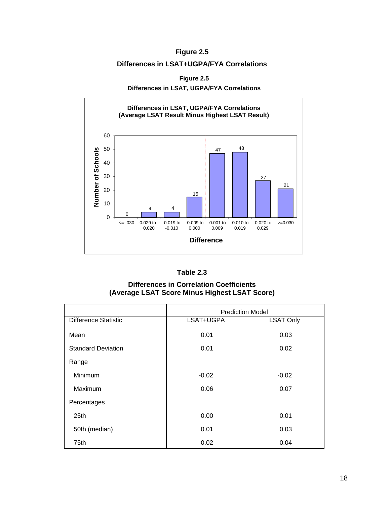## **Figure 2.5**

#### **Differences in LSAT+UGPA/FYA Correlations**

**Figure 2.5**

**Differences in LSAT, UGPA/FYA Correlations**





**Differences in Correlation Coefficients (Average LSAT Score Minus Highest LSAT Score)**

|                             | <b>Prediction Model</b> |                  |  |  |
|-----------------------------|-------------------------|------------------|--|--|
| <b>Difference Statistic</b> | LSAT+UGPA               | <b>LSAT Only</b> |  |  |
| Mean                        | 0.01                    | 0.03             |  |  |
| <b>Standard Deviation</b>   | 0.01                    | 0.02             |  |  |
| Range                       |                         |                  |  |  |
| Minimum                     | $-0.02$                 | $-0.02$          |  |  |
| Maximum                     | 0.06                    | 0.07             |  |  |
| Percentages                 |                         |                  |  |  |
| 25 <sub>th</sub>            | 0.00                    | 0.01             |  |  |
| 50th (median)               | 0.01                    | 0.03             |  |  |
| 75th                        | 0.02                    | 0.04             |  |  |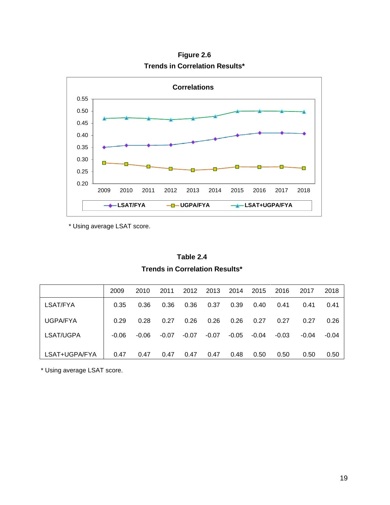

**Figure 2.6 Trends in Correlation Results\*** 

\* Using average LSAT score.

| Table 2.4                             |
|---------------------------------------|
| <b>Trends in Correlation Results*</b> |

|               | 2009    | 2010    | 2011    | 2012    | 2013    | 2014    | 2015  | 2016    | 2017    | 2018    |
|---------------|---------|---------|---------|---------|---------|---------|-------|---------|---------|---------|
| LSAT/FYA      | 0.35    | 0.36    | 0.36    | 0.36    | 0.37    | 0.39    | 0.40  | 0.41    | 0.41    | 0.41    |
| UGPA/FYA      | 0.29    | 0.28    | 0.27    | 0.26    | 0.26    | 0.26    | 0.27  | 0.27    | 0.27    | 0.26    |
| LSAT/UGPA     | $-0.06$ | $-0.06$ | $-0.07$ | $-0.07$ | $-0.07$ | $-0.05$ | -0.04 | $-0.03$ | $-0.04$ | $-0.04$ |
| LSAT+UGPA/FYA | 0.47    | 0.47    | 0.47    | 0.47    | 0.47    | 0.48    | 0.50  | 0.50    | 0.50    | 0.50    |

\* Using average LSAT score.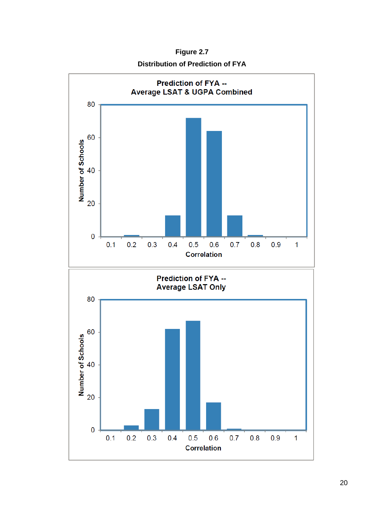**Figure 2.7**

**Distribution of Prediction of FYA**

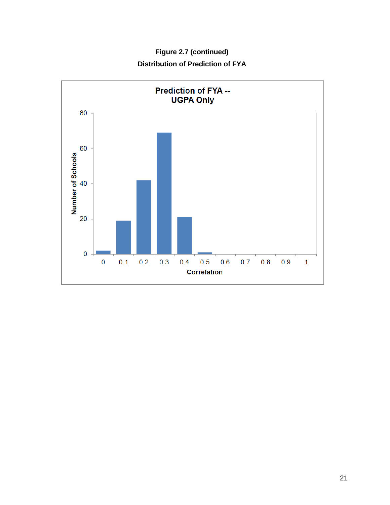**Figure 2.7 (continued) Distribution of Prediction of FYA**

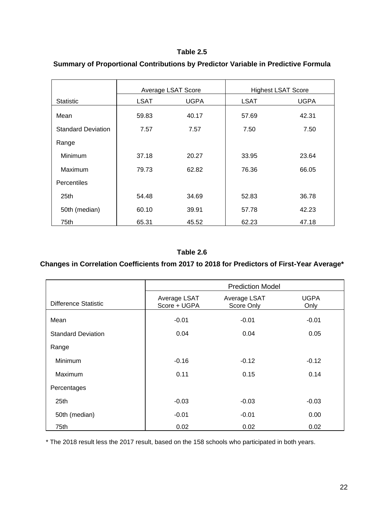#### **Table 2.5**

|                           | Average LSAT Score |             |             | <b>Highest LSAT Score</b> |
|---------------------------|--------------------|-------------|-------------|---------------------------|
| <b>Statistic</b>          | LSAT               | <b>UGPA</b> | <b>LSAT</b> | <b>UGPA</b>               |
| Mean                      | 59.83              | 40.17       | 57.69       | 42.31                     |
| <b>Standard Deviation</b> | 7.57               | 7.57        | 7.50        | 7.50                      |
| Range                     |                    |             |             |                           |
| Minimum                   | 37.18              | 20.27       | 33.95       | 23.64                     |
| Maximum                   | 79.73              | 62.82       | 76.36       | 66.05                     |
| Percentiles               |                    |             |             |                           |
| 25 <sub>th</sub>          | 54.48              | 34.69       | 52.83       | 36.78                     |
| 50th (median)             | 60.10              | 39.91       | 57.78       | 42.23                     |
| 75th                      | 65.31              | 45.52       | 62.23       | 47.18                     |

## **Summary of Proportional Contributions by Predictor Variable in Predictive Formula**

#### **Table 2.6**

# **Changes in Correlation Coefficients from 2017 to 2018 for Predictors of First-Year Average\***

|                           | <b>Prediction Model</b>      |                            |                     |  |  |  |
|---------------------------|------------------------------|----------------------------|---------------------|--|--|--|
| Difference Statistic      | Average LSAT<br>Score + UGPA | Average LSAT<br>Score Only | <b>UGPA</b><br>Only |  |  |  |
| Mean                      | $-0.01$                      | $-0.01$                    | $-0.01$             |  |  |  |
| <b>Standard Deviation</b> | 0.04                         | 0.04                       | 0.05                |  |  |  |
| Range                     |                              |                            |                     |  |  |  |
| <b>Minimum</b>            | $-0.16$                      | $-0.12$                    | $-0.12$             |  |  |  |
| Maximum                   | 0.11                         | 0.15                       | 0.14                |  |  |  |
| Percentages               |                              |                            |                     |  |  |  |
| 25th                      | $-0.03$                      | $-0.03$                    | $-0.03$             |  |  |  |
| 50th (median)             | $-0.01$                      | $-0.01$                    | 0.00                |  |  |  |
| 75th                      | 0.02                         | 0.02                       | 0.02                |  |  |  |

\* The 2018 result less the 2017 result, based on the 158 schools who participated in both years.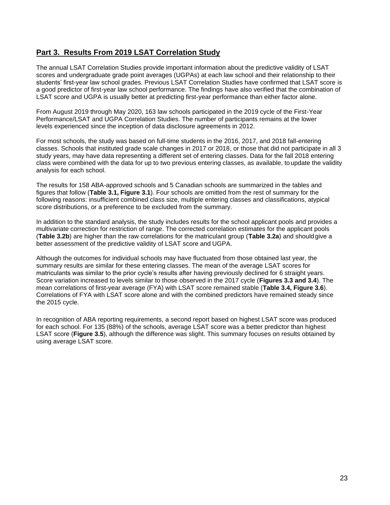# **Part 3. Results From 2019 LSAT Correlation Study**

The annual LSAT Correlation Studies provide important information about the predictive validity of LSAT scores and undergraduate grade point averages (UGPAs) at each law school and their relationship to their students' first-year law school grades. Previous LSAT Correlation Studies have confirmed that LSAT score is a good predictor of first-year law school performance. The findings have also verified that the combination of LSAT score and UGPA is usually better at predicting first-year performance than either factor alone.

From August 2019 through May 2020, 163 law schools participated in the 2019 cycle of the First-Year Performance/LSAT and UGPA Correlation Studies. The number of participants remains at the lower levels experienced since the inception of data disclosure agreements in 2012.

For most schools, the study was based on full-time students in the 2016, 2017, and 2018 fall-entering classes. Schools that instituted grade scale changes in 2017 or 2018, or those that did not participate in all 3 study years, may have data representing a different set of entering classes. Data for the fall 2018 entering class were combined with the data for up to two previous entering classes, as available, to update the validity analysis for each school.

The results for 158 ABA-approved schools and 5 Canadian schools are summarized in the tables and figures that follow (**Table 3.1, Figure 3.1**). Four schools are omitted from the rest of summary for the following reasons: insufficient combined class size, multiple entering classes and classifications, atypical score distributions, or a preference to be excluded from the summary.

In addition to the standard analysis, the study includes results for the school applicant pools and provides a multivariate correction for restriction of range. The corrected correlation estimates for the applicant pools (**Table 3.2b**) are higher than the raw correlations for the matriculant group (**Table 3.2a**) and shouldgive a better assessment of the predictive validity of LSAT score and UGPA.

Although the outcomes for individual schools may have fluctuated from those obtained last year, the summary results are similar for these entering classes. The mean of the average LSAT scores for matriculants was similar to the prior cycle's results after having previously declined for 6 straight years. Score variation increased to levels similar to those observed in the 2017 cycle (**Figures 3.3 and 3.4**). The mean correlations of first-year average (FYA) with LSAT score remained stable (**Table 3.4, Figure 3.6**). Correlations of FYA with LSAT score alone and with the combined predictors have remained steady since the 2015 cycle.

In recognition of ABA reporting requirements, a second report based on highest LSAT score was produced for each school. For 135 (88%) of the schools, average LSAT score was a better predictor than highest LSAT score (**Figure 3.5**), although the difference was slight. This summary focuses on results obtained by using average LSAT score.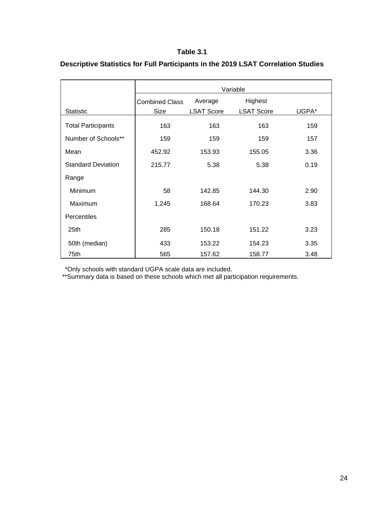#### **Table 3.1**

|                           | Variable              |                   |                   |       |  |  |
|---------------------------|-----------------------|-------------------|-------------------|-------|--|--|
|                           | <b>Combined Class</b> | Average           | Highest           |       |  |  |
| <b>Statistic</b>          | Size                  | <b>LSAT Score</b> | <b>LSAT Score</b> | UGPA* |  |  |
| <b>Total Participants</b> | 163                   | 163               | 163               | 159   |  |  |
| Number of Schools**       | 159                   | 159               | 159               | 157   |  |  |
| Mean                      | 452.92                | 153.93            | 155.05            | 3.36  |  |  |
| <b>Standard Deviation</b> | 215.77                | 5.38              | 5.38              | 0.19  |  |  |
| Range                     |                       |                   |                   |       |  |  |
| <b>Minimum</b>            | 58                    | 142.85            | 144.30            | 2.90  |  |  |
| Maximum                   | 1,245                 | 168.64            | 170.23            | 3.83  |  |  |
| Percentiles               |                       |                   |                   |       |  |  |
| 25th                      | 285                   | 150.18            | 151.22            | 3.23  |  |  |
| 50th (median)             | 433                   | 153.22            | 154.23            | 3.35  |  |  |
| 75th                      | 565                   | 157.62            | 158.77            | 3.48  |  |  |

# **Descriptive Statistics for Full Participants in the 2019 LSAT Correlation Studies**

\*Only schools with standard UGPA scale data are included.

\*\*Summary data is based on these schools which met all participation requirements.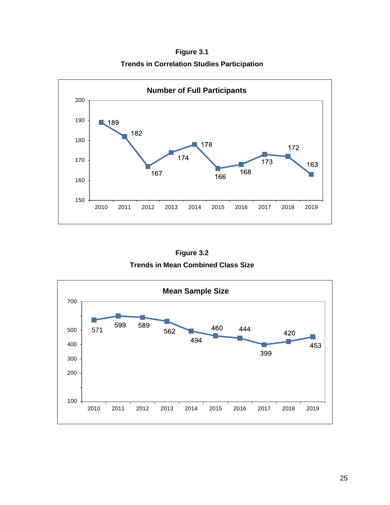**Figure 3.1 Trends in Correlation Studies Participation**



**Figure 3.2 Trends in Mean Combined Class Size**

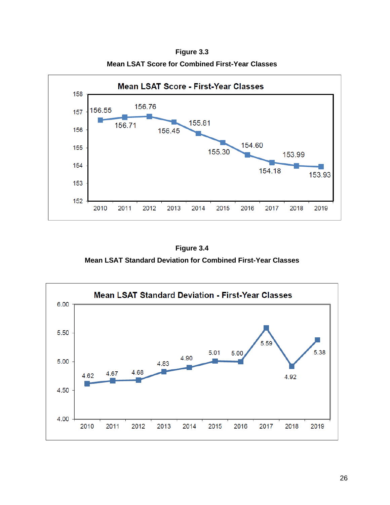**Mean LSAT Score - First-Year Classes** 158 156.76 156.55 157 155.81 156.71 156 156.45 154.60 155 155.30 153.99 154 154.18 153.93 153 152 2010 2011 2012 2013 2014 2015 2016 2017 2018 2019

**Figure 3.3 Mean LSAT Score for Combined First-Year Classes**

**Figure 3.4 Mean LSAT Standard Deviation for Combined First-Year Classes**

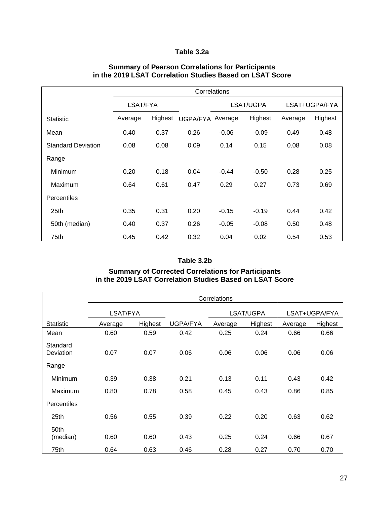## **Table 3.2a**

|                           | Correlations |         |                 |           |         |               |         |
|---------------------------|--------------|---------|-----------------|-----------|---------|---------------|---------|
|                           | LSAT/FYA     |         |                 | LSAT/UGPA |         | LSAT+UGPA/FYA |         |
| <b>Statistic</b>          | Average      | Highest | <b>UGPA/FYA</b> | Average   | Highest | Average       | Highest |
| Mean                      | 0.40         | 0.37    | 0.26            | $-0.06$   | $-0.09$ | 0.49          | 0.48    |
| <b>Standard Deviation</b> | 0.08         | 0.08    | 0.09            | 0.14      | 0.15    | 0.08          | 0.08    |
| Range                     |              |         |                 |           |         |               |         |
| Minimum                   | 0.20         | 0.18    | 0.04            | $-0.44$   | $-0.50$ | 0.28          | 0.25    |
| Maximum                   | 0.64         | 0.61    | 0.47            | 0.29      | 0.27    | 0.73          | 0.69    |
| <b>Percentiles</b>        |              |         |                 |           |         |               |         |
| 25th                      | 0.35         | 0.31    | 0.20            | $-0.15$   | $-0.19$ | 0.44          | 0.42    |
| 50th (median)             | 0.40         | 0.37    | 0.26            | $-0.05$   | $-0.08$ | 0.50          | 0.48    |
| 75th                      | 0.45         | 0.42    | 0.32            | 0.04      | 0.02    | 0.54          | 0.53    |

#### **Summary of Pearson Correlations for Participants in the 2019 LSAT Correlation Studies Based on LSAT Score**

#### **Table 3.2b**

#### **Summary of Corrected Correlations for Participants in the 2019 LSAT Correlation Studies Based on LSAT Score**

|                              | Correlations |         |          |           |         |               |         |  |
|------------------------------|--------------|---------|----------|-----------|---------|---------------|---------|--|
|                              | LSAT/FYA     |         |          | LSAT/UGPA |         | LSAT+UGPA/FYA |         |  |
| <b>Statistic</b>             | Average      | Highest | UGPA/FYA | Average   | Highest | Average       | Highest |  |
| Mean                         | 0.60         | 0.59    | 0.42     | 0.25      | 0.24    | 0.66          | 0.66    |  |
| Standard<br><b>Deviation</b> | 0.07         | 0.07    | 0.06     | 0.06      | 0.06    | 0.06          | 0.06    |  |
| Range                        |              |         |          |           |         |               |         |  |
| Minimum                      | 0.39         | 0.38    | 0.21     | 0.13      | 0.11    | 0.43          | 0.42    |  |
| Maximum                      | 0.80         | 0.78    | 0.58     | 0.45      | 0.43    | 0.86          | 0.85    |  |
| <b>Percentiles</b>           |              |         |          |           |         |               |         |  |
| 25th                         | 0.56         | 0.55    | 0.39     | 0.22      | 0.20    | 0.63          | 0.62    |  |
| 50th<br>(median)             | 0.60         | 0.60    | 0.43     | 0.25      | 0.24    | 0.66          | 0.67    |  |
| 75th                         | 0.64         | 0.63    | 0.46     | 0.28      | 0.27    | 0.70          | 0.70    |  |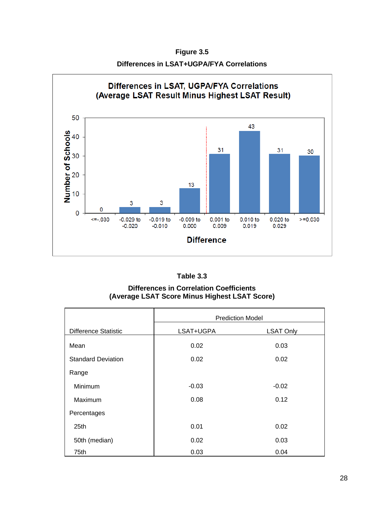**Figure 3.5 Differences in LSAT+UGPA/FYA Correlations**



| Table 3.3 |  |
|-----------|--|
|-----------|--|

**Differences in Correlation Coefficients (Average LSAT Score Minus Highest LSAT Score)**

|                             | <b>Prediction Model</b> |                  |  |  |
|-----------------------------|-------------------------|------------------|--|--|
| <b>Difference Statistic</b> | LSAT+UGPA               | <b>LSAT Only</b> |  |  |
| Mean                        | 0.02                    | 0.03             |  |  |
| <b>Standard Deviation</b>   | 0.02                    | 0.02             |  |  |
| Range                       |                         |                  |  |  |
| Minimum                     | $-0.03$                 | $-0.02$          |  |  |
| Maximum                     | 0.08                    | 0.12             |  |  |
| Percentages                 |                         |                  |  |  |
| 25th                        | 0.01                    | 0.02             |  |  |
| 50th (median)               | 0.02                    | 0.03             |  |  |
| 75th                        | 0.03                    | 0.04             |  |  |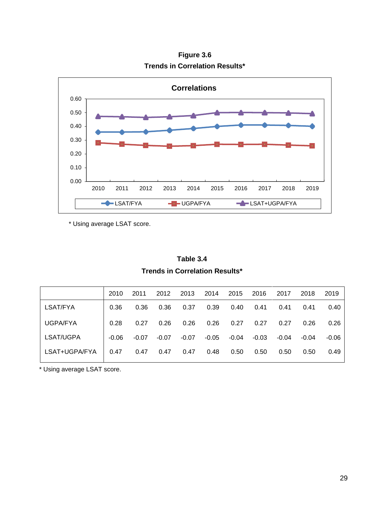

**Figure 3.6 Trends in Correlation Results\***

\* Using average LSAT score.

**Table 3.4 Trends in Correlation Results\***

|               | 2010    | 2011    | 2012    | 2013    | 2014    | 2015  | 2016    | 2017    | 2018    | 2019    |
|---------------|---------|---------|---------|---------|---------|-------|---------|---------|---------|---------|
| LSAT/FYA      | 0.36    | 0.36    | 0.36    | 0.37    | 0.39    | 0.40  | 0.41    | 0.41    | 0.41    | 0.40    |
| UGPA/FYA      | 0.28    | 0.27    | 0.26    | 0.26    | 0.26    | 0.27  | 0.27    | 0.27    | 0.26    | 0.26    |
| LSAT/UGPA     | $-0.06$ | $-0.07$ | $-0.07$ | $-0.07$ | $-0.05$ | -0.04 | $-0.03$ | $-0.04$ | $-0.04$ | $-0.06$ |
| LSAT+UGPA/FYA | 0.47    | 0.47    | 0.47    | 0.47    | 0.48    | 0.50  | 0.50    | 0.50    | 0.50    | 0.49    |

\* Using average LSAT score.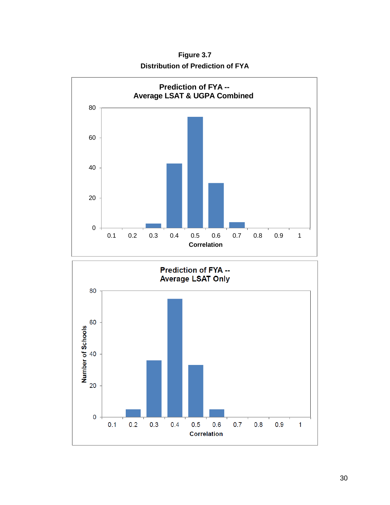**Figure 3.7 Distribution of Prediction of FYA**

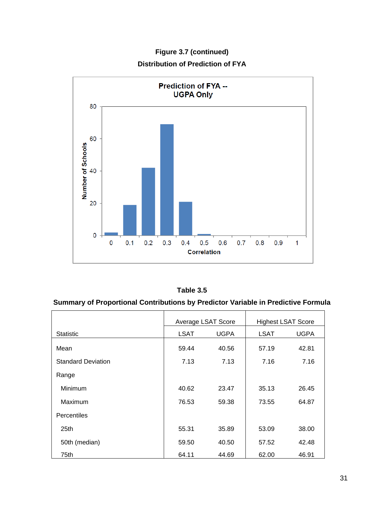**Prediction of FYA --UGPA Only** 80 60 Number of Schools 40 20  $\mathbf 0$  $0.1$  $0.2$  $0.4$  $0.5$  $0.6$  $0.7$  $0.8$  $0.9$  $\overline{1}$  $\mathbf 0$  $0.3$ **Correlation** 

**Figure 3.7 (continued) Distribution of Prediction of FYA**

## **Summary of Proportional Contributions by Predictor Variable in Predictive Formula**

|                           | Average LSAT Score |             |             | <b>Highest LSAT Score</b> |
|---------------------------|--------------------|-------------|-------------|---------------------------|
| <b>Statistic</b>          | LSAT               | <b>UGPA</b> | <b>LSAT</b> | <b>UGPA</b>               |
| Mean                      | 59.44              | 40.56       | 57.19       | 42.81                     |
| <b>Standard Deviation</b> | 7.13               | 7.13        | 7.16        | 7.16                      |
| Range                     |                    |             |             |                           |
| Minimum                   | 40.62              | 23.47       | 35.13       | 26.45                     |
| Maximum                   | 76.53              | 59.38       | 73.55       | 64.87                     |
| <b>Percentiles</b>        |                    |             |             |                           |
| 25th                      | 55.31              | 35.89       | 53.09       | 38.00                     |
| 50th (median)             | 59.50              | 40.50       | 57.52       | 42.48                     |
| 75th                      | 64.11              | 44.69       | 62.00       | 46.91                     |